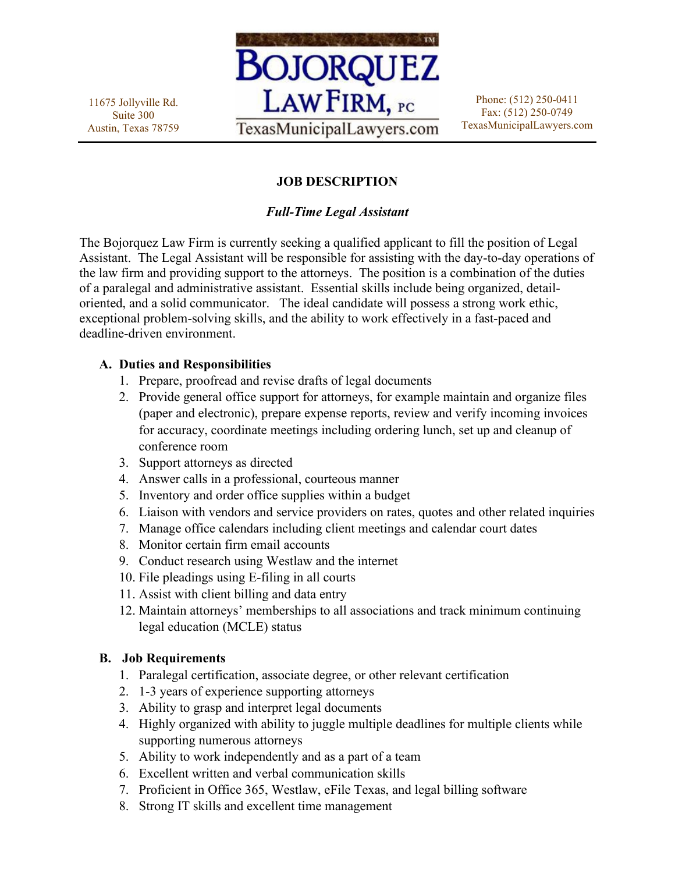11675 Jollyville Rd. Suite 300 Austin, Texas 78759



Phone: (512) 250-0411 Fax: (512) 250-0749 TexasMunicipalLawyers.com

# **JOB DESCRIPTION**

## *Full-Time Legal Assistant*

The Bojorquez Law Firm is currently seeking a qualified applicant to fill the position of Legal Assistant. The Legal Assistant will be responsible for assisting with the day-to-day operations of the law firm and providing support to the attorneys. The position is a combination of the duties of a paralegal and administrative assistant. Essential skills include being organized, detailoriented, and a solid communicator. The ideal candidate will possess a strong work ethic, exceptional problem-solving skills, and the ability to work effectively in a fast-paced and deadline-driven environment.

### **A. Duties and Responsibilities**

- 1. Prepare, proofread and revise drafts of legal documents
- 2. Provide general office support for attorneys, for example maintain and organize files (paper and electronic), prepare expense reports, review and verify incoming invoices for accuracy, coordinate meetings including ordering lunch, set up and cleanup of conference room
- 3. Support attorneys as directed
- 4. Answer calls in a professional, courteous manner
- 5. Inventory and order office supplies within a budget
- 6. Liaison with vendors and service providers on rates, quotes and other related inquiries
- 7. Manage office calendars including client meetings and calendar court dates
- 8. Monitor certain firm email accounts
- 9. Conduct research using Westlaw and the internet
- 10. File pleadings using E-filing in all courts
- 11. Assist with client billing and data entry
- 12. Maintain attorneys' memberships to all associations and track minimum continuing legal education (MCLE) status

### **B. Job Requirements**

- 1. Paralegal certification, associate degree, or other relevant certification
- 2. 1-3 years of experience supporting attorneys
- 3. Ability to grasp and interpret legal documents
- 4. Highly organized with ability to juggle multiple deadlines for multiple clients while supporting numerous attorneys
- 5. Ability to work independently and as a part of a team
- 6. Excellent written and verbal communication skills
- 7. Proficient in Office 365, Westlaw, eFile Texas, and legal billing software
- 8. Strong IT skills and excellent time management